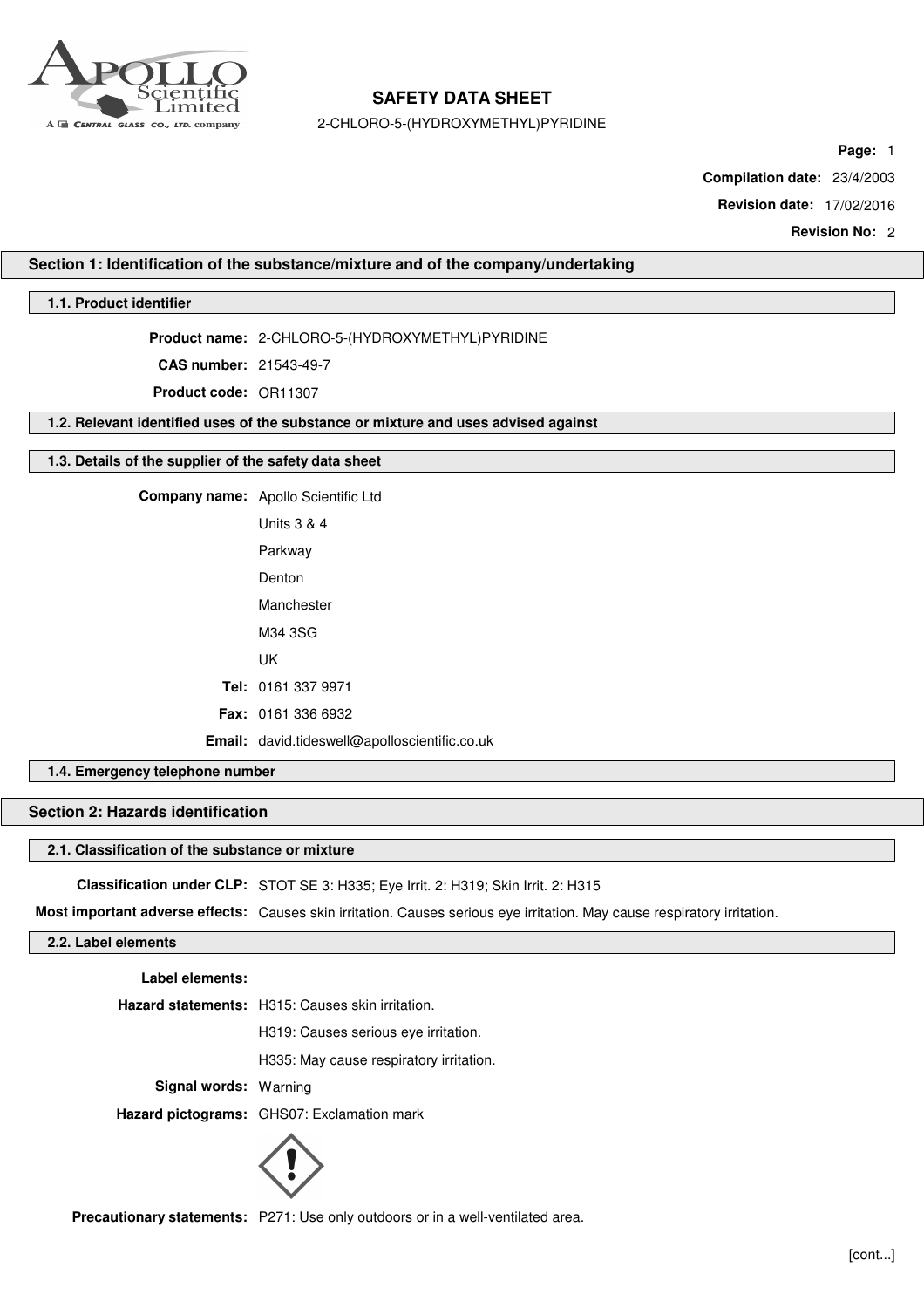

2-CHLORO-5-(HYDROXYMETHYL)PYRIDINE

**Page:** 1

**Compilation date:** 23/4/2003

**Revision date:** 17/02/2016

**Revision No:** 2

## **Section 1: Identification of the substance/mixture and of the company/undertaking**

## **1.1. Product identifier**

**Product name:** 2-CHLORO-5-(HYDROXYMETHYL)PYRIDINE

**CAS number:** 21543-49-7

**Product code:** OR11307

**1.2. Relevant identified uses of the substance or mixture and uses advised against**

## **1.3. Details of the supplier of the safety data sheet**

**Company name:** Apollo Scientific Ltd Units 3 & 4 Parkway Denton Manchester M34 3SG UK **Tel:** 0161 337 9971 **Fax:** 0161 336 6932 **Email:** david.tideswell@apolloscientific.co.uk

## **1.4. Emergency telephone number**

# **Section 2: Hazards identification**

#### **2.1. Classification of the substance or mixture**

**Classification under CLP:** STOT SE 3: H335; Eye Irrit. 2: H319; Skin Irrit. 2: H315

**Most important adverse effects:** Causes skin irritation. Causes serious eye irritation. May cause respiratory irritation.

# **2.2. Label elements**

**Label elements:**

**Hazard statements:** H315: Causes skin irritation.

H319: Causes serious eye irritation.

H335: May cause respiratory irritation.

**Signal words:** Warning

**Hazard pictograms:** GHS07: Exclamation mark



**Precautionary statements:** P271: Use only outdoors or in a well-ventilated area.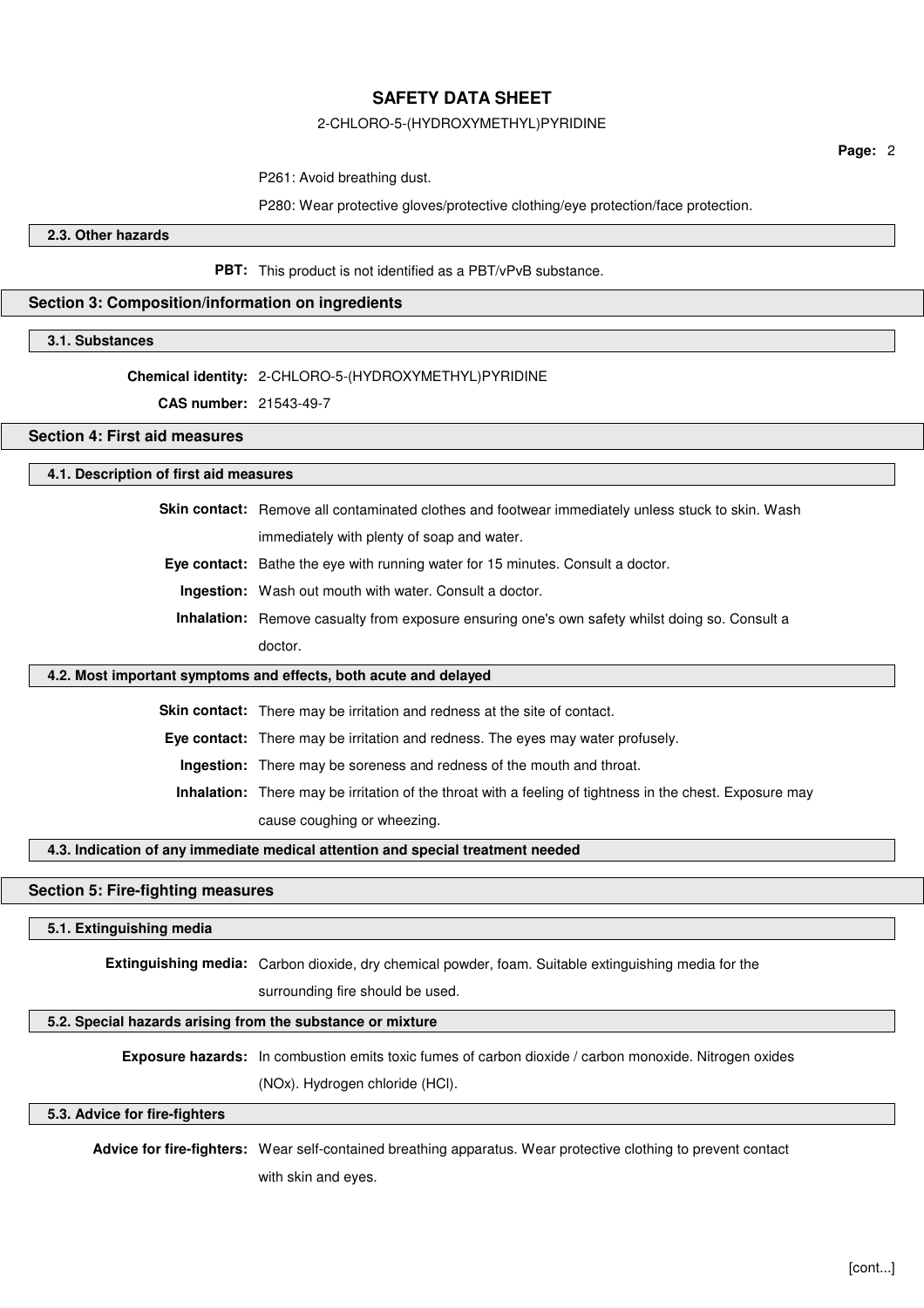#### 2-CHLORO-5-(HYDROXYMETHYL)PYRIDINE

**Page:** 2

P261: Avoid breathing dust.

P280: Wear protective gloves/protective clothing/eye protection/face protection.

**2.3. Other hazards**

**PBT:** This product is not identified as a PBT/vPvB substance.

#### **Section 3: Composition/information on ingredients**

**3.1. Substances**

# **Chemical identity:** 2-CHLORO-5-(HYDROXYMETHYL)PYRIDINE

**CAS number:** 21543-49-7

## **Section 4: First aid measures**

#### **4.1. Description of first aid measures**

**Skin contact:** Remove all contaminated clothes and footwear immediately unless stuck to skin. Wash immediately with plenty of soap and water.

**Eye contact:** Bathe the eye with running water for 15 minutes. Consult a doctor.

**Ingestion:** Wash out mouth with water. Consult a doctor.

**Inhalation:** Remove casualty from exposure ensuring one's own safety whilst doing so. Consult a doctor.

#### **4.2. Most important symptoms and effects, both acute and delayed**

**Skin contact:** There may be irritation and redness at the site of contact.

**Eye contact:** There may be irritation and redness. The eyes may water profusely.

**Ingestion:** There may be soreness and redness of the mouth and throat.

**Inhalation:** There may be irritation of the throat with a feeling of tightness in the chest. Exposure may cause coughing or wheezing.

## **4.3. Indication of any immediate medical attention and special treatment needed**

## **Section 5: Fire-fighting measures**

#### **5.1. Extinguishing media**

**Extinguishing media:** Carbon dioxide, dry chemical powder, foam. Suitable extinguishing media for the

surrounding fire should be used.

## **5.2. Special hazards arising from the substance or mixture**

**Exposure hazards:** In combustion emits toxic fumes of carbon dioxide / carbon monoxide. Nitrogen oxides

(NOx). Hydrogen chloride (HCl).

## **5.3. Advice for fire-fighters**

**Advice for fire-fighters:** Wear self-contained breathing apparatus. Wear protective clothing to prevent contact with skin and eyes.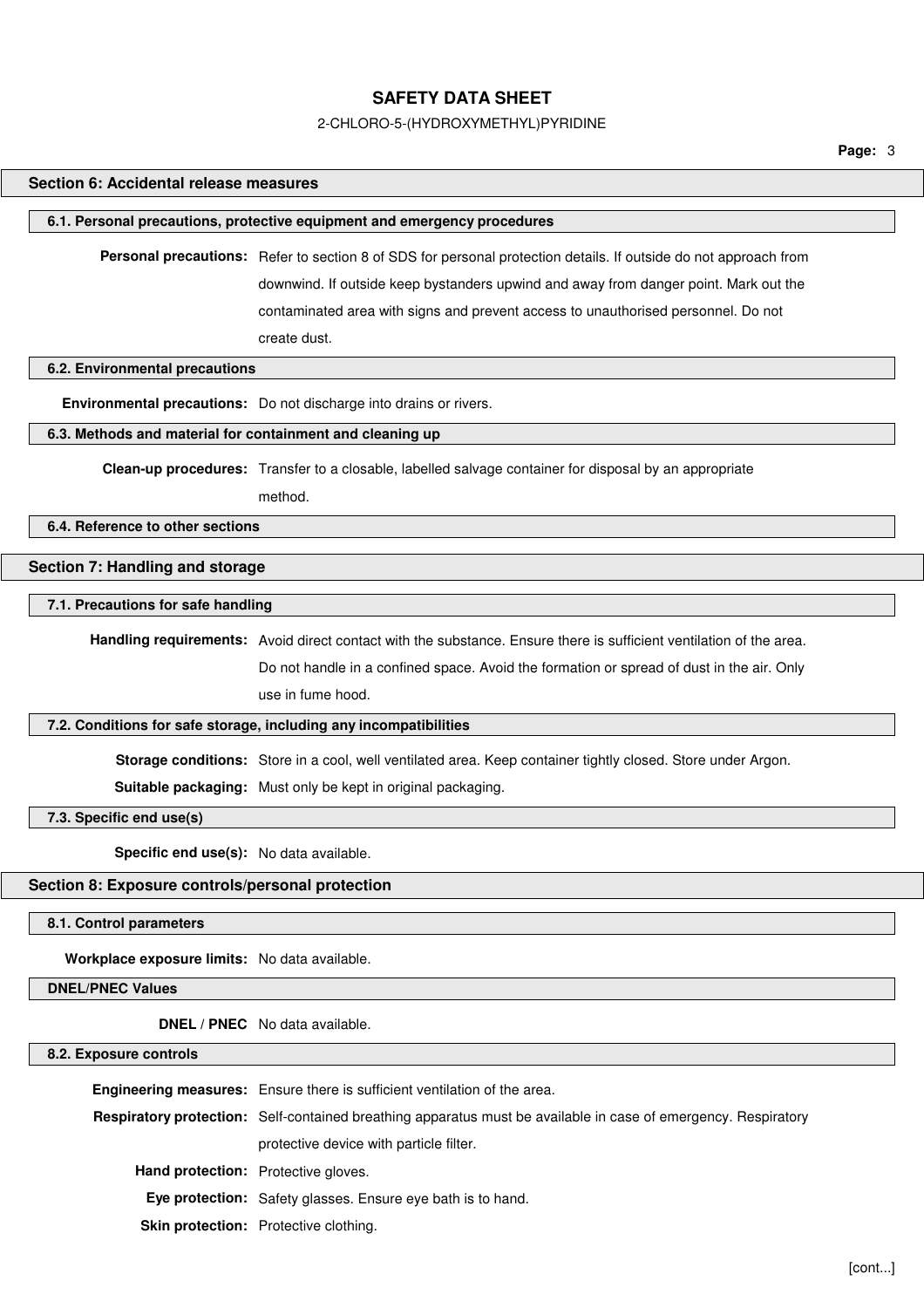#### 2-CHLORO-5-(HYDROXYMETHYL)PYRIDINE

**Page:** 3

## **Section 6: Accidental release measures**

#### **6.1. Personal precautions, protective equipment and emergency procedures**

**Personal precautions:** Refer to section 8 of SDS for personal protection details. If outside do not approach from downwind. If outside keep bystanders upwind and away from danger point. Mark out the contaminated area with signs and prevent access to unauthorised personnel. Do not create dust.

#### **6.2. Environmental precautions**

**Environmental precautions:** Do not discharge into drains or rivers.

## **6.3. Methods and material for containment and cleaning up**

**Clean-up procedures:** Transfer to a closable, labelled salvage container for disposal by an appropriate

method.

#### **6.4. Reference to other sections**

#### **Section 7: Handling and storage**

## **7.1. Precautions for safe handling**

**Handling requirements:** Avoid direct contact with the substance. Ensure there is sufficient ventilation of the area. Do not handle in a confined space. Avoid the formation or spread of dust in the air. Only use in fume hood.

## **7.2. Conditions for safe storage, including any incompatibilities**

**Storage conditions:** Store in a cool, well ventilated area. Keep container tightly closed. Store under Argon.

**Suitable packaging:** Must only be kept in original packaging.

**7.3. Specific end use(s)**

**Specific end use(s):** No data available.

#### **Section 8: Exposure controls/personal protection**

**8.1. Control parameters**

**Workplace exposure limits:** No data available.

#### **DNEL/PNEC Values**

**DNEL / PNEC** No data available.

#### **8.2. Exposure controls**

|                                            | Engineering measures: Ensure there is sufficient ventilation of the area.                                      |
|--------------------------------------------|----------------------------------------------------------------------------------------------------------------|
|                                            | Respiratory protection: Self-contained breathing apparatus must be available in case of emergency. Respiratory |
|                                            | protective device with particle filter.                                                                        |
| <b>Hand protection:</b> Protective gloves. |                                                                                                                |
|                                            | <b>Eye protection:</b> Safety glasses. Ensure eye bath is to hand.                                             |
|                                            | <b>Skin protection:</b> Protective clothing.                                                                   |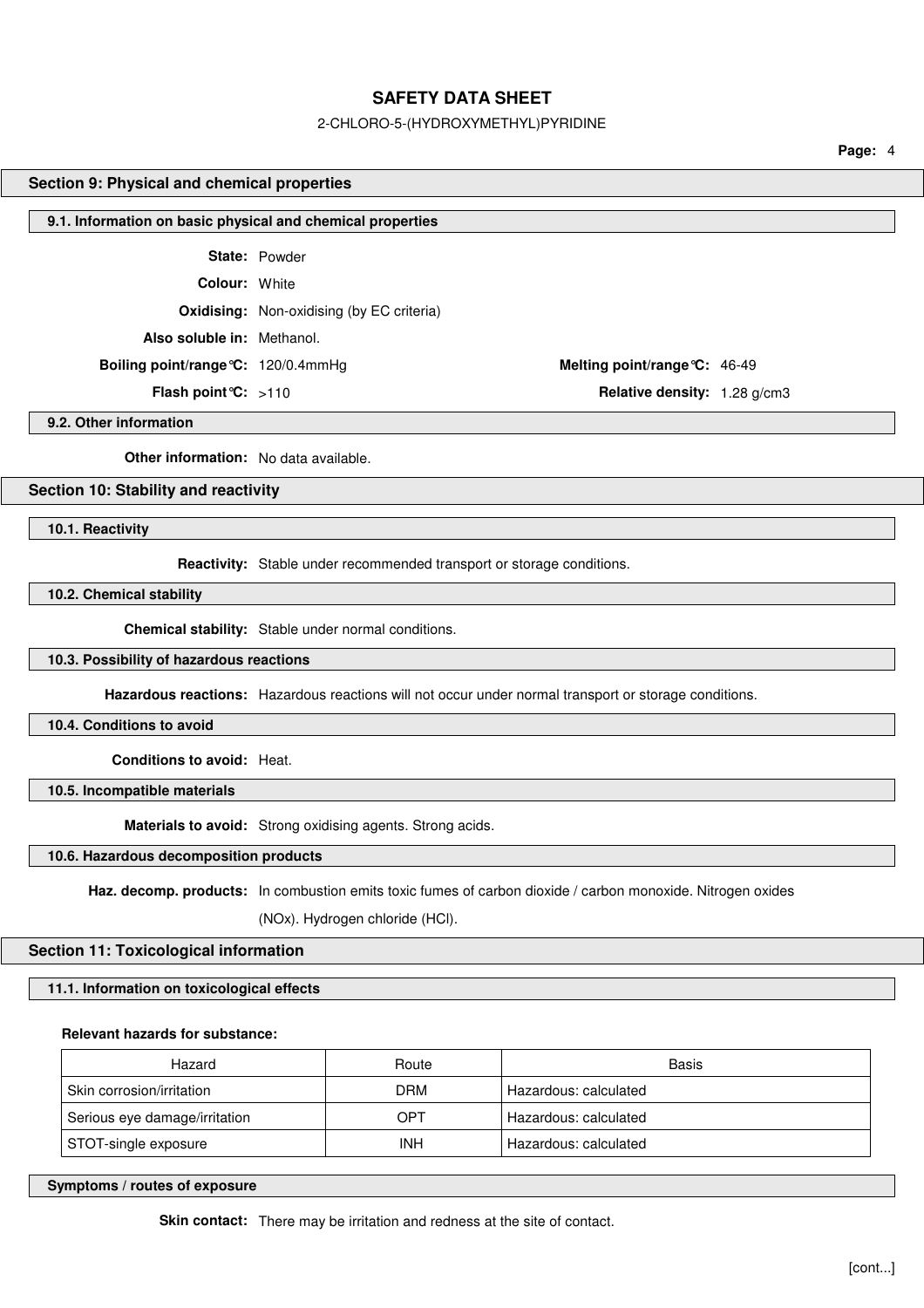#### 2-CHLORO-5-(HYDROXYMETHYL)PYRIDINE

**Page:** 4

## **Section 9: Physical and chemical properties**

#### **9.1. Information on basic physical and chemical properties**

**State:** Powder

**Colour:** White

**Oxidising:** Non-oxidising (by EC criteria)

**Also soluble in:** Methanol.

**Boiling point/range°C:** 120/0.4mmHg **Melting point/range°C:** 46-49

**Flash point°C:** >110 **Relative density:** 1.28 g/cm3

**9.2. Other information**

**Other information:** No data available.

## **Section 10: Stability and reactivity**

**10.1. Reactivity**

**Reactivity:** Stable under recommended transport or storage conditions.

**10.2. Chemical stability**

**Chemical stability:** Stable under normal conditions.

## **10.3. Possibility of hazardous reactions**

**Hazardous reactions:** Hazardous reactions will not occur under normal transport or storage conditions.

**10.4. Conditions to avoid**

**Conditions to avoid:** Heat.

**10.5. Incompatible materials**

**Materials to avoid:** Strong oxidising agents. Strong acids.

## **10.6. Hazardous decomposition products**

**Haz. decomp. products:** In combustion emits toxic fumes of carbon dioxide / carbon monoxide. Nitrogen oxides

(NOx). Hydrogen chloride (HCl).

## **Section 11: Toxicological information**

**11.1. Information on toxicological effects**

## **Relevant hazards for substance:**

| Hazard                        | Route | Basis                 |
|-------------------------------|-------|-----------------------|
| Skin corrosion/irritation     | DRM   | Hazardous: calculated |
| Serious eye damage/irritation | OPT   | Hazardous: calculated |
| STOT-single exposure          | INH   | Hazardous: calculated |

**Symptoms / routes of exposure**

**Skin contact:** There may be irritation and redness at the site of contact.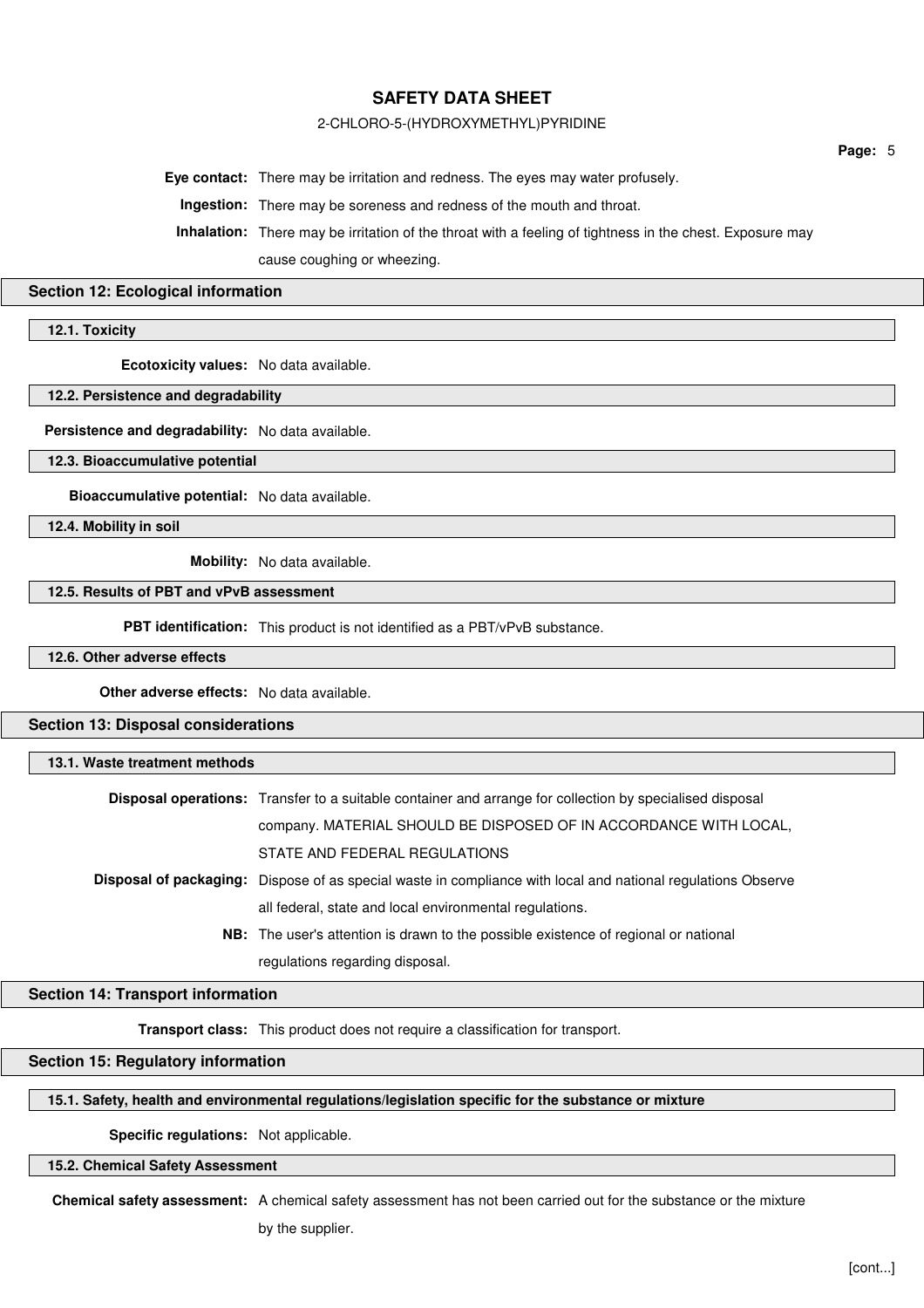## 2-CHLORO-5-(HYDROXYMETHYL)PYRIDINE

**Eye contact:** There may be irritation and redness. The eyes may water profusely.

**Ingestion:** There may be soreness and redness of the mouth and throat.

**Inhalation:** There may be irritation of the throat with a feeling of tightness in the chest. Exposure may

cause coughing or wheezing.

#### **Section 12: Ecological information**

**12.1. Toxicity**

**Ecotoxicity values:** No data available.

#### **12.2. Persistence and degradability**

**Persistence and degradability:** No data available.

**12.3. Bioaccumulative potential**

**Bioaccumulative potential:** No data available.

**12.4. Mobility in soil**

**Mobility:** No data available.

## **12.5. Results of PBT and vPvB assessment**

**PBT identification:** This product is not identified as a PBT/vPvB substance.

**12.6. Other adverse effects**

**Other adverse effects:** No data available.

**Section 13: Disposal considerations**

#### **13.1. Waste treatment methods**

| <b>Disposal operations:</b> Transfer to a suitable container and arrange for collection by specialised disposal     |
|---------------------------------------------------------------------------------------------------------------------|
| company. MATERIAL SHOULD BE DISPOSED OF IN ACCORDANCE WITH LOCAL,                                                   |
| STATE AND FEDERAL REGULATIONS                                                                                       |
| <b>Disposal of packaging:</b> Dispose of as special waste in compliance with local and national regulations Observe |
| all federal, state and local environmental regulations.                                                             |
| <b>NB:</b> The user's attention is drawn to the possible existence of regional or national                          |
| regulations regarding disposal.                                                                                     |

## **Section 14: Transport information**

**Transport class:** This product does not require a classification for transport.

## **Section 15: Regulatory information**

## **15.1. Safety, health and environmental regulations/legislation specific for the substance or mixture**

**Specific regulations:** Not applicable.

**15.2. Chemical Safety Assessment**

**Chemical safety assessment:** A chemical safety assessment has not been carried out for the substance or the mixture

by the supplier.